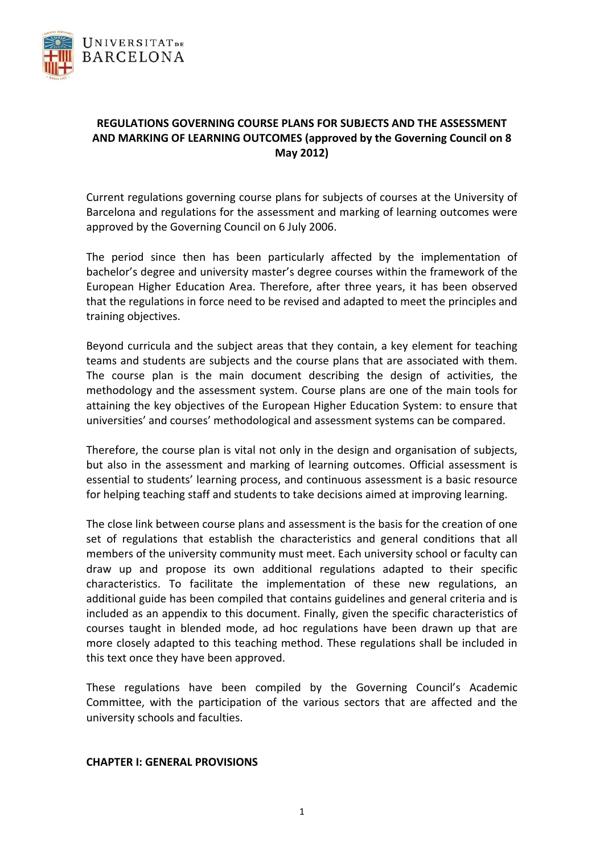

# **REGULATIONS GOVERNING COURSE PLANS FOR SUBJECTS AND THE ASSESSMENT AND MARKING OF LEARNING OUTCOMES (approved by the Governing Council on 8 May 2012)**

Current regulations governing course plans for subjects of courses at the University of Barcelona and regulations for the assessment and marking of learning outcomes were approved by the Governing Council on 6 July 2006.

The period since then has been particularly affected by the implementation of bachelor's degree and university master's degree courses within the framework of the European Higher Education Area. Therefore, after three years, it has been observed that the regulations in force need to be revised and adapted to meet the principles and training objectives.

Beyond curricula and the subject areas that they contain, a key element for teaching teams and students are subjects and the course plans that are associated with them. The course plan is the main document describing the design of activities, the methodology and the assessment system. Course plans are one of the main tools for attaining the key objectives of the European Higher Education System: to ensure that universities' and courses' methodological and assessment systems can be compared.

Therefore, the course plan is vital not only in the design and organisation of subjects, but also in the assessment and marking of learning outcomes. Official assessment is essential to students' learning process, and continuous assessment is a basic resource for helping teaching staff and students to take decisions aimed at improving learning.

The close link between course plans and assessment is the basis for the creation of one set of regulations that establish the characteristics and general conditions that all members of the university community must meet. Each university school or faculty can draw up and propose its own additional regulations adapted to their specific characteristics. To facilitate the implementation of these new regulations, an additional guide has been compiled that contains guidelines and general criteria and is included as an appendix to this document. Finally, given the specific characteristics of courses taught in blended mode, ad hoc regulations have been drawn up that are more closely adapted to this teaching method. These regulations shall be included in this text once they have been approved.

These regulations have been compiled by the Governing Council's Academic Committee, with the participation of the various sectors that are affected and the university schools and faculties.

#### **CHAPTER I: GENERAL PROVISIONS**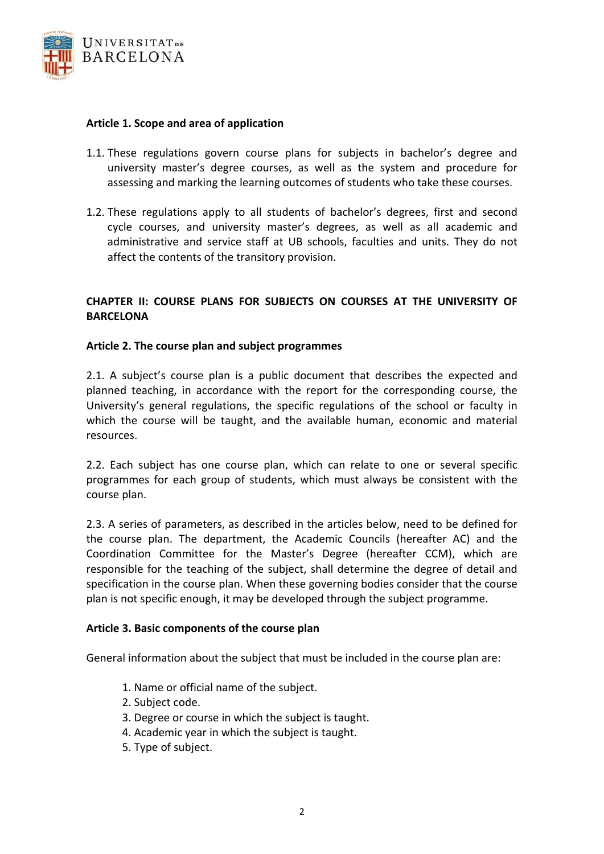

## **Article 1. Scope and area of application**

- 1.1. These regulations govern course plans for subjects in bachelor's degree and university master's degree courses, as well as the system and procedure for assessing and marking the learning outcomes of students who take these courses.
- 1.2. These regulations apply to all students of bachelor's degrees, first and second cycle courses, and university master's degrees, as well as all academic and administrative and service staff at UB schools, faculties and units. They do not affect the contents of the transitory provision.

## **CHAPTER II: COURSE PLANS FOR SUBJECTS ON COURSES AT THE UNIVERSITY OF BARCELONA**

## **Article 2. The course plan and subject programmes**

2.1. A subject's course plan is a public document that describes the expected and planned teaching, in accordance with the report for the corresponding course, the University's general regulations, the specific regulations of the school or faculty in which the course will be taught, and the available human, economic and material resources.

2.2. Each subject has one course plan, which can relate to one or several specific programmes for each group of students, which must always be consistent with the course plan.

2.3. A series of parameters, as described in the articles below, need to be defined for the course plan. The department, the Academic Councils (hereafter AC) and the Coordination Committee for the Master's Degree (hereafter CCM), which are responsible for the teaching of the subject, shall determine the degree of detail and specification in the course plan. When these governing bodies consider that the course plan is not specific enough, it may be developed through the subject programme.

#### **Article 3. Basic components of the course plan**

General information about the subject that must be included in the course plan are:

- 1. Name or official name of the subject.
- 2. Subject code.
- 3. Degree or course in which the subject is taught.
- 4. Academic year in which the subject is taught.
- 5. Type of subject.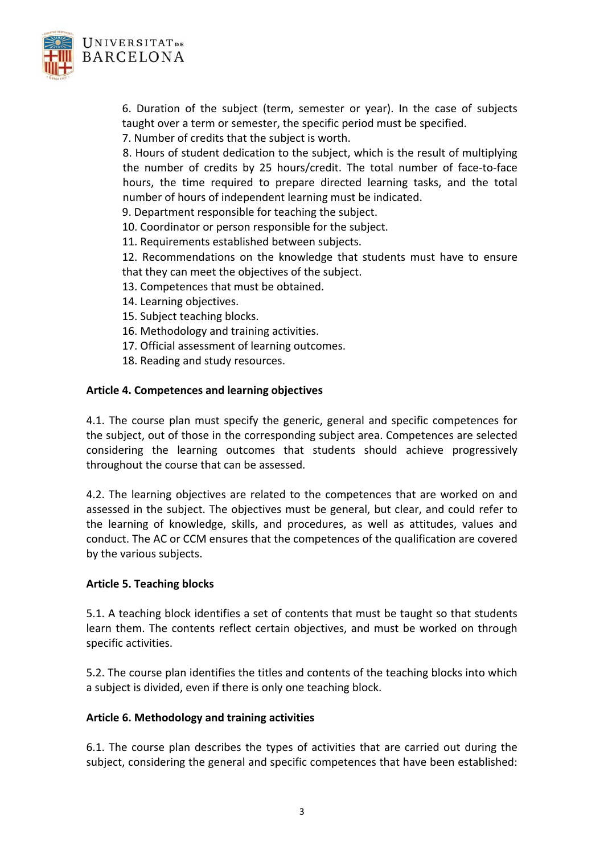

6. Duration of the subject (term, semester or year). In the case of subjects taught over a term or semester, the specific period must be specified.

7. Number of credits that the subject is worth.

8. Hours of student dedication to the subject, which is the result of multiplying the number of credits by 25 hours/credit. The total number of face‐to‐face hours, the time required to prepare directed learning tasks, and the total number of hours of independent learning must be indicated.

9. Department responsible for teaching the subject.

10. Coordinator or person responsible for the subject.

11. Requirements established between subjects.

12. Recommendations on the knowledge that students must have to ensure that they can meet the objectives of the subject.

- 13. Competences that must be obtained.
- 14. Learning objectives.
- 15. Subject teaching blocks.
- 16. Methodology and training activities.
- 17. Official assessment of learning outcomes.
- 18. Reading and study resources.

#### **Article 4. Competences and learning objectives**

4.1. The course plan must specify the generic, general and specific competences for the subject, out of those in the corresponding subject area. Competences are selected considering the learning outcomes that students should achieve progressively throughout the course that can be assessed.

4.2. The learning objectives are related to the competences that are worked on and assessed in the subject. The objectives must be general, but clear, and could refer to the learning of knowledge, skills, and procedures, as well as attitudes, values and conduct. The AC or CCM ensures that the competences of the qualification are covered by the various subjects.

#### **Article 5. Teaching blocks**

5.1. A teaching block identifies a set of contents that must be taught so that students learn them. The contents reflect certain objectives, and must be worked on through specific activities.

5.2. The course plan identifies the titles and contents of the teaching blocks into which a subject is divided, even if there is only one teaching block.

#### **Article 6. Methodology and training activities**

6.1. The course plan describes the types of activities that are carried out during the subject, considering the general and specific competences that have been established: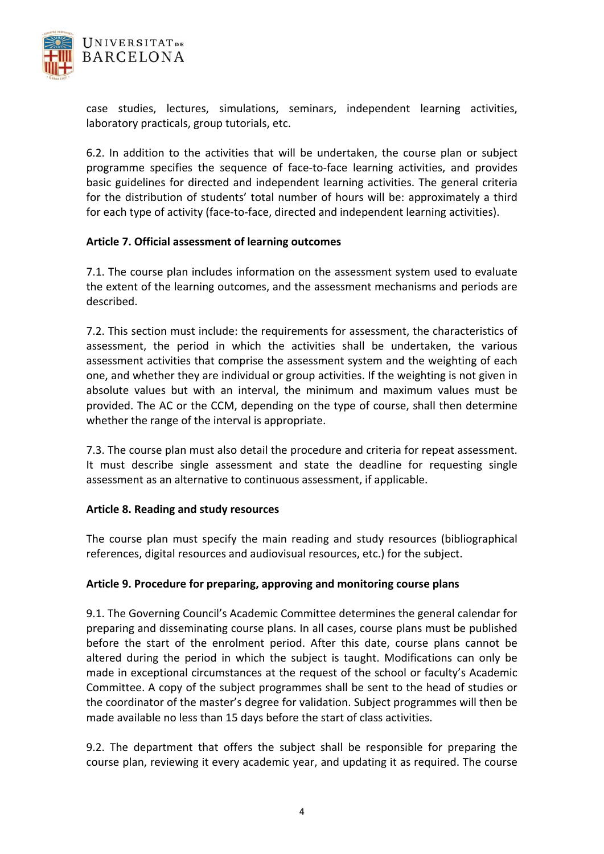

case studies, lectures, simulations, seminars, independent learning activities, laboratory practicals, group tutorials, etc.

6.2. In addition to the activities that will be undertaken, the course plan or subject programme specifies the sequence of face‐to‐face learning activities, and provides basic guidelines for directed and independent learning activities. The general criteria for the distribution of students' total number of hours will be: approximately a third for each type of activity (face-to-face, directed and independent learning activities).

## **Article 7. Official assessment of learning outcomes**

7.1. The course plan includes information on the assessment system used to evaluate the extent of the learning outcomes, and the assessment mechanisms and periods are described.

7.2. This section must include: the requirements for assessment, the characteristics of assessment, the period in which the activities shall be undertaken, the various assessment activities that comprise the assessment system and the weighting of each one, and whether they are individual or group activities. If the weighting is not given in absolute values but with an interval, the minimum and maximum values must be provided. The AC or the CCM, depending on the type of course, shall then determine whether the range of the interval is appropriate.

7.3. The course plan must also detail the procedure and criteria for repeat assessment. It must describe single assessment and state the deadline for requesting single assessment as an alternative to continuous assessment, if applicable.

#### **Article 8. Reading and study resources**

The course plan must specify the main reading and study resources (bibliographical references, digital resources and audiovisual resources, etc.) for the subject.

#### **Article 9. Procedure for preparing, approving and monitoring course plans**

9.1. The Governing Council's Academic Committee determines the general calendar for preparing and disseminating course plans. In all cases, course plans must be published before the start of the enrolment period. After this date, course plans cannot be altered during the period in which the subject is taught. Modifications can only be made in exceptional circumstances at the request of the school or faculty's Academic Committee. A copy of the subject programmes shall be sent to the head of studies or the coordinator of the master's degree for validation. Subject programmes will then be made available no less than 15 days before the start of class activities.

9.2. The department that offers the subject shall be responsible for preparing the course plan, reviewing it every academic year, and updating it as required. The course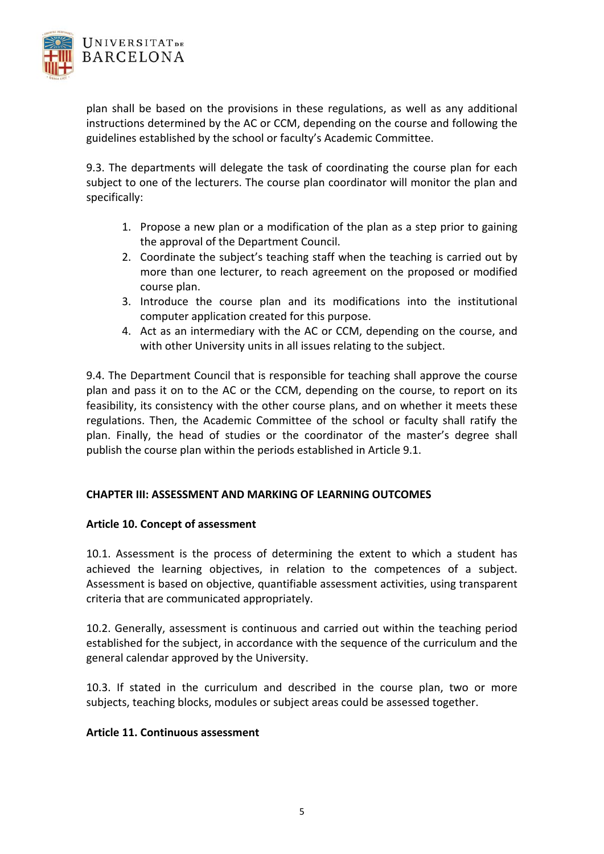

plan shall be based on the provisions in these regulations, as well as any additional instructions determined by the AC or CCM, depending on the course and following the guidelines established by the school or faculty's Academic Committee.

9.3. The departments will delegate the task of coordinating the course plan for each subject to one of the lecturers. The course plan coordinator will monitor the plan and specifically:

- 1. Propose a new plan or a modification of the plan as a step prior to gaining the approval of the Department Council.
- 2. Coordinate the subject's teaching staff when the teaching is carried out by more than one lecturer, to reach agreement on the proposed or modified course plan.
- 3. Introduce the course plan and its modifications into the institutional computer application created for this purpose.
- 4. Act as an intermediary with the AC or CCM, depending on the course, and with other University units in all issues relating to the subject.

9.4. The Department Council that is responsible for teaching shall approve the course plan and pass it on to the AC or the CCM, depending on the course, to report on its feasibility, its consistency with the other course plans, and on whether it meets these regulations. Then, the Academic Committee of the school or faculty shall ratify the plan. Finally, the head of studies or the coordinator of the master's degree shall publish the course plan within the periods established in Article 9.1.

#### **CHAPTER III: ASSESSMENT AND MARKING OF LEARNING OUTCOMES**

#### **Article 10. Concept of assessment**

10.1. Assessment is the process of determining the extent to which a student has achieved the learning objectives, in relation to the competences of a subject. Assessment is based on objective, quantifiable assessment activities, using transparent criteria that are communicated appropriately.

10.2. Generally, assessment is continuous and carried out within the teaching period established for the subject, in accordance with the sequence of the curriculum and the general calendar approved by the University.

10.3. If stated in the curriculum and described in the course plan, two or more subjects, teaching blocks, modules or subject areas could be assessed together.

#### **Article 11. Continuous assessment**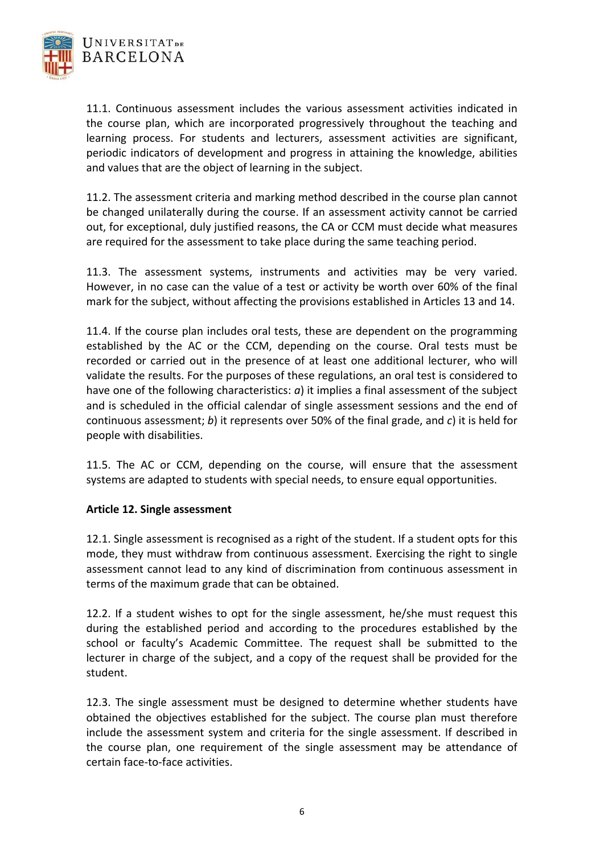

11.1. Continuous assessment includes the various assessment activities indicated in the course plan, which are incorporated progressively throughout the teaching and learning process. For students and lecturers, assessment activities are significant, periodic indicators of development and progress in attaining the knowledge, abilities and values that are the object of learning in the subject.

11.2. The assessment criteria and marking method described in the course plan cannot be changed unilaterally during the course. If an assessment activity cannot be carried out, for exceptional, duly justified reasons, the CA or CCM must decide what measures are required for the assessment to take place during the same teaching period.

11.3. The assessment systems, instruments and activities may be very varied. However, in no case can the value of a test or activity be worth over 60% of the final mark for the subject, without affecting the provisions established in Articles 13 and 14.

11.4. If the course plan includes oral tests, these are dependent on the programming established by the AC or the CCM, depending on the course. Oral tests must be recorded or carried out in the presence of at least one additional lecturer, who will validate the results. For the purposes of these regulations, an oral test is considered to have one of the following characteristics: *a*) it implies a final assessment of the subject and is scheduled in the official calendar of single assessment sessions and the end of continuous assessment; *b*) it represents over 50% of the final grade, and *c*) it is held for people with disabilities.

11.5. The AC or CCM, depending on the course, will ensure that the assessment systems are adapted to students with special needs, to ensure equal opportunities.

## **Article 12. Single assessment**

12.1. Single assessment is recognised as a right of the student. If a student opts for this mode, they must withdraw from continuous assessment. Exercising the right to single assessment cannot lead to any kind of discrimination from continuous assessment in terms of the maximum grade that can be obtained.

12.2. If a student wishes to opt for the single assessment, he/she must request this during the established period and according to the procedures established by the school or faculty's Academic Committee. The request shall be submitted to the lecturer in charge of the subject, and a copy of the request shall be provided for the student.

12.3. The single assessment must be designed to determine whether students have obtained the objectives established for the subject. The course plan must therefore include the assessment system and criteria for the single assessment. If described in the course plan, one requirement of the single assessment may be attendance of certain face‐to‐face activities.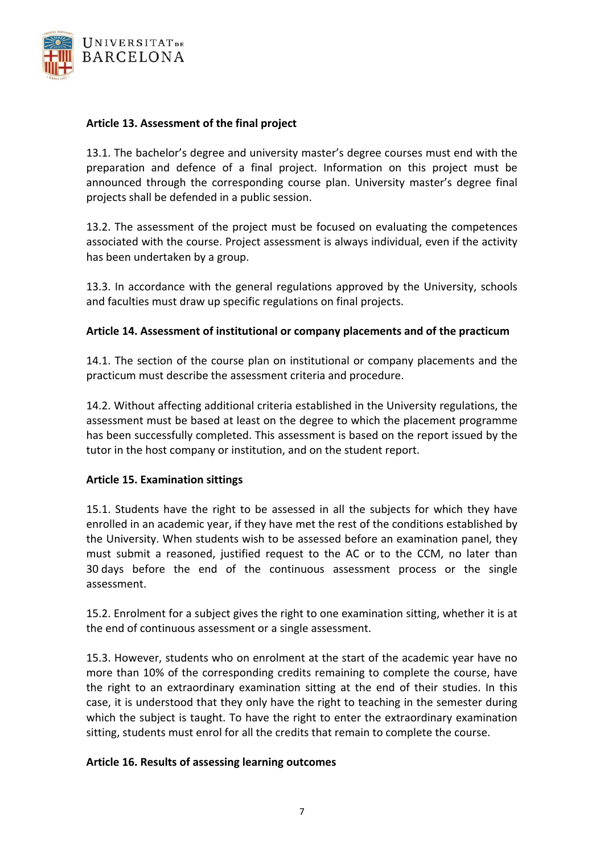

## **Article 13. Assessment of the final project**

13.1. The bachelor's degree and university master's degree courses must end with the preparation and defence of a final project. Information on this project must be announced through the corresponding course plan. University master's degree final projects shall be defended in a public session.

13.2. The assessment of the project must be focused on evaluating the competences associated with the course. Project assessment is always individual, even if the activity has been undertaken by a group.

13.3. In accordance with the general regulations approved by the University, schools and faculties must draw up specific regulations on final projects.

## **Article 14. Assessment of institutional or company placements and of the practicum**

14.1. The section of the course plan on institutional or company placements and the practicum must describe the assessment criteria and procedure.

14.2. Without affecting additional criteria established in the University regulations, the assessment must be based at least on the degree to which the placement programme has been successfully completed. This assessment is based on the report issued by the tutor in the host company or institution, and on the student report.

#### **Article 15. Examination sittings**

15.1. Students have the right to be assessed in all the subjects for which they have enrolled in an academic year, if they have met the rest of the conditions established by the University. When students wish to be assessed before an examination panel, they must submit a reasoned, justified request to the AC or to the CCM, no later than 30 days before the end of the continuous assessment process or the single assessment.

15.2. Enrolment for a subject gives the right to one examination sitting, whether it is at the end of continuous assessment or a single assessment.

15.3. However, students who on enrolment at the start of the academic year have no more than 10% of the corresponding credits remaining to complete the course, have the right to an extraordinary examination sitting at the end of their studies. In this case, it is understood that they only have the right to teaching in the semester during which the subject is taught. To have the right to enter the extraordinary examination sitting, students must enrol for all the credits that remain to complete the course.

#### **Article 16. Results of assessing learning outcomes**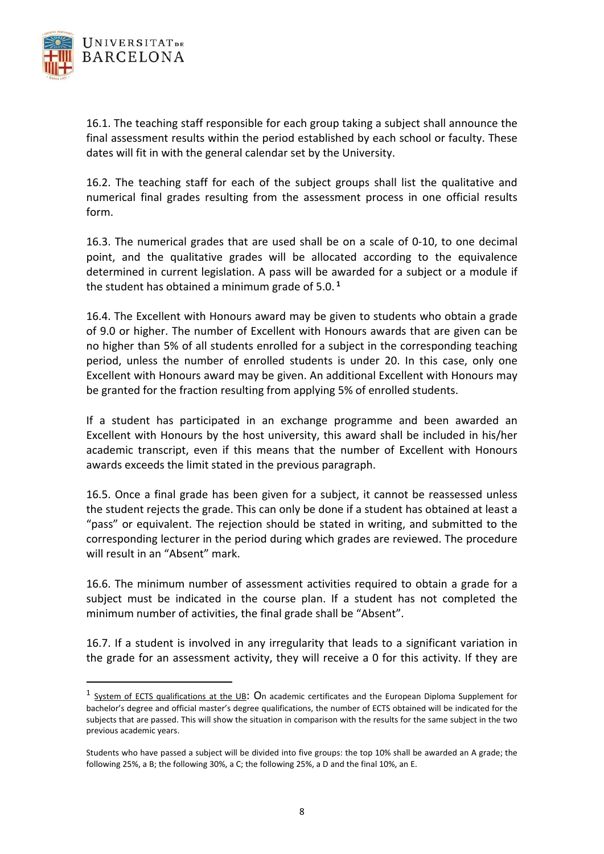

16.1. The teaching staff responsible for each group taking a subject shall announce the final assessment results within the period established by each school or faculty. These dates will fit in with the general calendar set by the University.

16.2. The teaching staff for each of the subject groups shall list the qualitative and numerical final grades resulting from the assessment process in one official results form.

16.3. The numerical grades that are used shall be on a scale of 0‐10, to one decimal point, and the qualitative grades will be allocated according to the equivalence determined in current legislation. A pass will be awarded for a subject or a module if the student has obtained a minimum grade of 5.0. **<sup>1</sup>**

16.4. The Excellent with Honours award may be given to students who obtain a grade of 9.0 or higher. The number of Excellent with Honours awards that are given can be no higher than 5% of all students enrolled for a subject in the corresponding teaching period, unless the number of enrolled students is under 20. In this case, only one Excellent with Honours award may be given. An additional Excellent with Honours may be granted for the fraction resulting from applying 5% of enrolled students.

If a student has participated in an exchange programme and been awarded an Excellent with Honours by the host university, this award shall be included in his/her academic transcript, even if this means that the number of Excellent with Honours awards exceeds the limit stated in the previous paragraph.

16.5. Once a final grade has been given for a subject, it cannot be reassessed unless the student rejects the grade. This can only be done if a student has obtained at least a "pass" or equivalent. The rejection should be stated in writing, and submitted to the corresponding lecturer in the period during which grades are reviewed. The procedure will result in an "Absent" mark.

16.6. The minimum number of assessment activities required to obtain a grade for a subject must be indicated in the course plan. If a student has not completed the minimum number of activities, the final grade shall be "Absent".

16.7. If a student is involved in any irregularity that leads to a significant variation in the grade for an assessment activity, they will receive a 0 for this activity. If they are

<sup>&</sup>lt;sup>1</sup> System of ECTS qualifications at the UB: On academic certificates and the European Diploma Supplement for bachelor's degree and official master's degree qualifications, the number of ECTS obtained will be indicated for the subjects that are passed. This will show the situation in comparison with the results for the same subject in the two previous academic years.

Students who have passed a subject will be divided into five groups: the top 10% shall be awarded an A grade; the following 25%, a B; the following 30%, a C; the following 25%, a D and the final 10%, an E.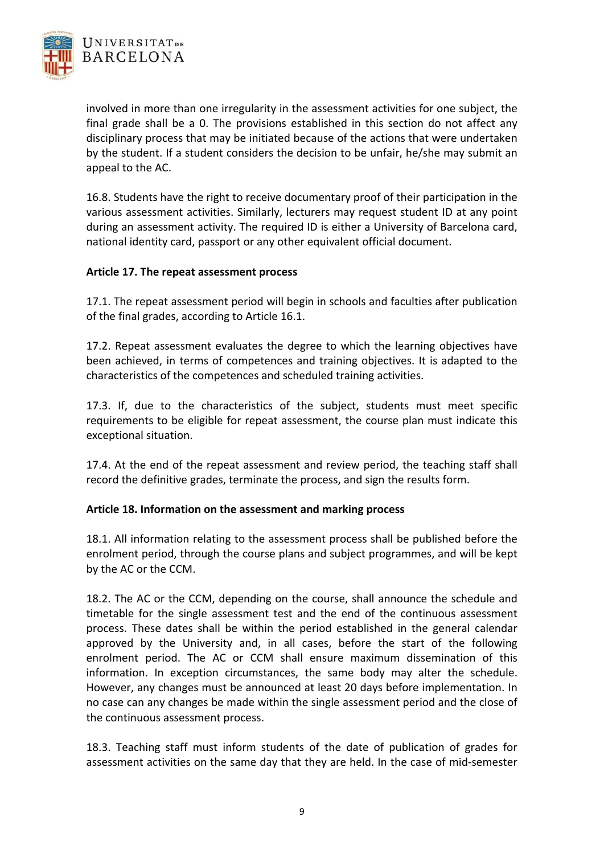

involved in more than one irregularity in the assessment activities for one subject, the final grade shall be a 0. The provisions established in this section do not affect any disciplinary process that may be initiated because of the actions that were undertaken by the student. If a student considers the decision to be unfair, he/she may submit an appeal to the AC.

16.8. Students have the right to receive documentary proof of their participation in the various assessment activities. Similarly, lecturers may request student ID at any point during an assessment activity. The required ID is either a University of Barcelona card, national identity card, passport or any other equivalent official document.

## **Article 17. The repeat assessment process**

17.1. The repeat assessment period will begin in schools and faculties after publication of the final grades, according to Article 16.1.

17.2. Repeat assessment evaluates the degree to which the learning objectives have been achieved, in terms of competences and training objectives. It is adapted to the characteristics of the competences and scheduled training activities.

17.3. If, due to the characteristics of the subject, students must meet specific requirements to be eligible for repeat assessment, the course plan must indicate this exceptional situation.

17.4. At the end of the repeat assessment and review period, the teaching staff shall record the definitive grades, terminate the process, and sign the results form.

## **Article 18. Information on the assessment and marking process**

18.1. All information relating to the assessment process shall be published before the enrolment period, through the course plans and subject programmes, and will be kept by the AC or the CCM.

18.2. The AC or the CCM, depending on the course, shall announce the schedule and timetable for the single assessment test and the end of the continuous assessment process. These dates shall be within the period established in the general calendar approved by the University and, in all cases, before the start of the following enrolment period. The AC or CCM shall ensure maximum dissemination of this information. In exception circumstances, the same body may alter the schedule. However, any changes must be announced at least 20 days before implementation. In no case can any changes be made within the single assessment period and the close of the continuous assessment process.

18.3. Teaching staff must inform students of the date of publication of grades for assessment activities on the same day that they are held. In the case of mid‐semester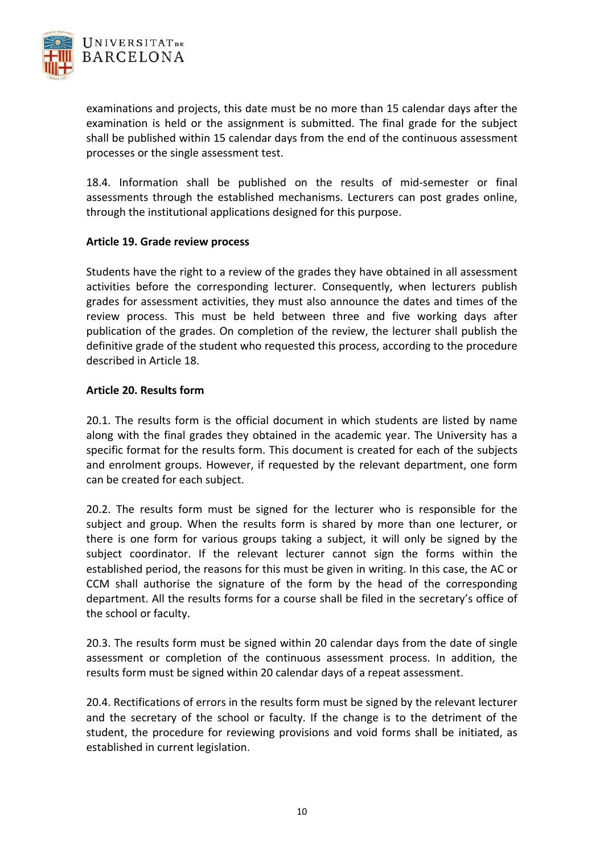

examinations and projects, this date must be no more than 15 calendar days after the examination is held or the assignment is submitted. The final grade for the subject shall be published within 15 calendar days from the end of the continuous assessment processes or the single assessment test.

18.4. Information shall be published on the results of mid-semester or final assessments through the established mechanisms. Lecturers can post grades online, through the institutional applications designed for this purpose.

## **Article 19. Grade review process**

Students have the right to a review of the grades they have obtained in all assessment activities before the corresponding lecturer. Consequently, when lecturers publish grades for assessment activities, they must also announce the dates and times of the review process. This must be held between three and five working days after publication of the grades. On completion of the review, the lecturer shall publish the definitive grade of the student who requested this process, according to the procedure described in Article 18.

#### **Article 20. Results form**

20.1. The results form is the official document in which students are listed by name along with the final grades they obtained in the academic year. The University has a specific format for the results form. This document is created for each of the subjects and enrolment groups. However, if requested by the relevant department, one form can be created for each subject.

20.2. The results form must be signed for the lecturer who is responsible for the subject and group. When the results form is shared by more than one lecturer, or there is one form for various groups taking a subject, it will only be signed by the subject coordinator. If the relevant lecturer cannot sign the forms within the established period, the reasons for this must be given in writing. In this case, the AC or CCM shall authorise the signature of the form by the head of the corresponding department. All the results forms for a course shall be filed in the secretary's office of the school or faculty.

20.3. The results form must be signed within 20 calendar days from the date of single assessment or completion of the continuous assessment process. In addition, the results form must be signed within 20 calendar days of a repeat assessment.

20.4. Rectifications of errors in the results form must be signed by the relevant lecturer and the secretary of the school or faculty. If the change is to the detriment of the student, the procedure for reviewing provisions and void forms shall be initiated, as established in current legislation.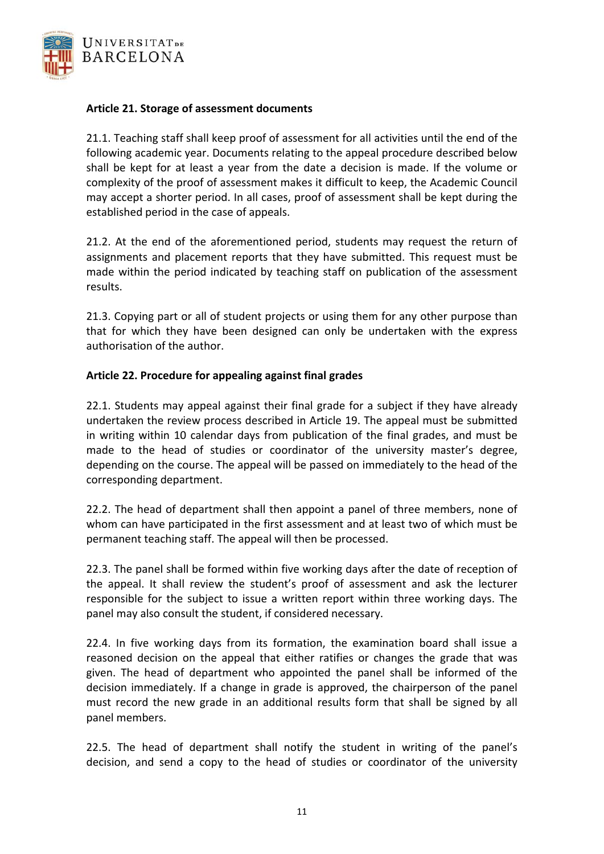

### **Article 21. Storage of assessment documents**

21.1. Teaching staff shall keep proof of assessment for all activities until the end of the following academic year. Documents relating to the appeal procedure described below shall be kept for at least a year from the date a decision is made. If the volume or complexity of the proof of assessment makes it difficult to keep, the Academic Council may accept a shorter period. In all cases, proof of assessment shall be kept during the established period in the case of appeals.

21.2. At the end of the aforementioned period, students may request the return of assignments and placement reports that they have submitted. This request must be made within the period indicated by teaching staff on publication of the assessment results.

21.3. Copying part or all of student projects or using them for any other purpose than that for which they have been designed can only be undertaken with the express authorisation of the author.

## **Article 22. Procedure for appealing against final grades**

22.1. Students may appeal against their final grade for a subject if they have already undertaken the review process described in Article 19. The appeal must be submitted in writing within 10 calendar days from publication of the final grades, and must be made to the head of studies or coordinator of the university master's degree, depending on the course. The appeal will be passed on immediately to the head of the corresponding department.

22.2. The head of department shall then appoint a panel of three members, none of whom can have participated in the first assessment and at least two of which must be permanent teaching staff. The appeal will then be processed.

22.3. The panel shall be formed within five working days after the date of reception of the appeal. It shall review the student's proof of assessment and ask the lecturer responsible for the subject to issue a written report within three working days. The panel may also consult the student, if considered necessary.

22.4. In five working days from its formation, the examination board shall issue a reasoned decision on the appeal that either ratifies or changes the grade that was given. The head of department who appointed the panel shall be informed of the decision immediately. If a change in grade is approved, the chairperson of the panel must record the new grade in an additional results form that shall be signed by all panel members.

22.5. The head of department shall notify the student in writing of the panel's decision, and send a copy to the head of studies or coordinator of the university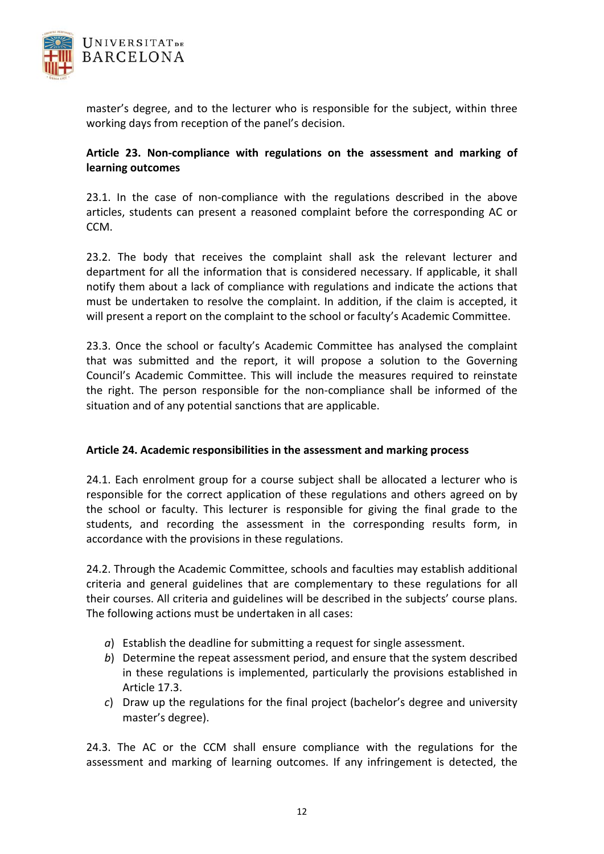

master's degree, and to the lecturer who is responsible for the subject, within three working days from reception of the panel's decision.

# **Article 23. Non‐compliance with regulations on the assessment and marking of learning outcomes**

23.1. In the case of non-compliance with the regulations described in the above articles, students can present a reasoned complaint before the corresponding AC or CCM.

23.2. The body that receives the complaint shall ask the relevant lecturer and department for all the information that is considered necessary. If applicable, it shall notify them about a lack of compliance with regulations and indicate the actions that must be undertaken to resolve the complaint. In addition, if the claim is accepted, it will present a report on the complaint to the school or faculty's Academic Committee.

23.3. Once the school or faculty's Academic Committee has analysed the complaint that was submitted and the report, it will propose a solution to the Governing Council's Academic Committee. This will include the measures required to reinstate the right. The person responsible for the non‐compliance shall be informed of the situation and of any potential sanctions that are applicable.

## **Article 24. Academic responsibilities in the assessment and marking process**

24.1. Each enrolment group for a course subject shall be allocated a lecturer who is responsible for the correct application of these regulations and others agreed on by the school or faculty. This lecturer is responsible for giving the final grade to the students, and recording the assessment in the corresponding results form, in accordance with the provisions in these regulations.

24.2. Through the Academic Committee, schools and faculties may establish additional criteria and general guidelines that are complementary to these regulations for all their courses. All criteria and guidelines will be described in the subjects' course plans. The following actions must be undertaken in all cases:

- *a*) Establish the deadline for submitting a request for single assessment.
- *b*) Determine the repeat assessment period, and ensure that the system described in these regulations is implemented, particularly the provisions established in Article 17.3.
- *c*) Draw up the regulations for the final project (bachelor's degree and university master's degree).

24.3. The AC or the CCM shall ensure compliance with the regulations for the assessment and marking of learning outcomes. If any infringement is detected, the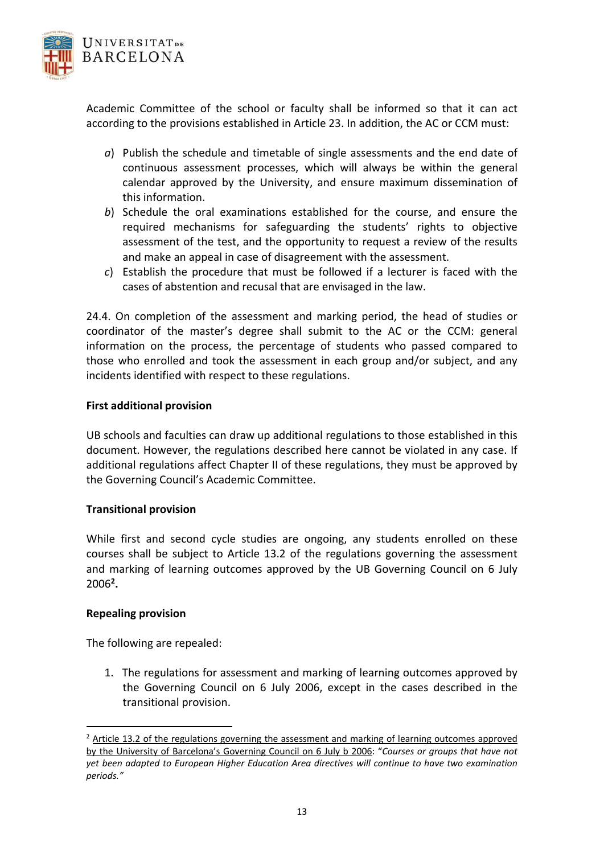

Academic Committee of the school or faculty shall be informed so that it can act according to the provisions established in Article 23. In addition, the AC or CCM must:

- *a*) Publish the schedule and timetable of single assessments and the end date of continuous assessment processes, which will always be within the general calendar approved by the University, and ensure maximum dissemination of this information.
- *b*) Schedule the oral examinations established for the course, and ensure the required mechanisms for safeguarding the students' rights to objective assessment of the test, and the opportunity to request a review of the results and make an appeal in case of disagreement with the assessment.
- *c*) Establish the procedure that must be followed if a lecturer is faced with the cases of abstention and recusal that are envisaged in the law.

24.4. On completion of the assessment and marking period, the head of studies or coordinator of the master's degree shall submit to the AC or the CCM: general information on the process, the percentage of students who passed compared to those who enrolled and took the assessment in each group and/or subject, and any incidents identified with respect to these regulations.

## **First additional provision**

UB schools and faculties can draw up additional regulations to those established in this document. However, the regulations described here cannot be violated in any case. If additional regulations affect Chapter II of these regulations, they must be approved by the Governing Council's Academic Committee.

#### **Transitional provision**

While first and second cycle studies are ongoing, any students enrolled on these courses shall be subject to Article 13.2 of the regulations governing the assessment and marking of learning outcomes approved by the UB Governing Council on 6 July 2006**2.**

#### **Repealing provision**

The following are repealed:

1. The regulations for assessment and marking of learning outcomes approved by the Governing Council on 6 July 2006, except in the cases described in the transitional provision.

 $<sup>2</sup>$  Article 13.2 of the regulations governing the assessment and marking of learning outcomes approved</sup> by the University of Barcelona's Governing Council on 6 July b 2006: "*Courses or groups that have not yet been adapted to European Higher Education Area directives will continue to have two examination periods."*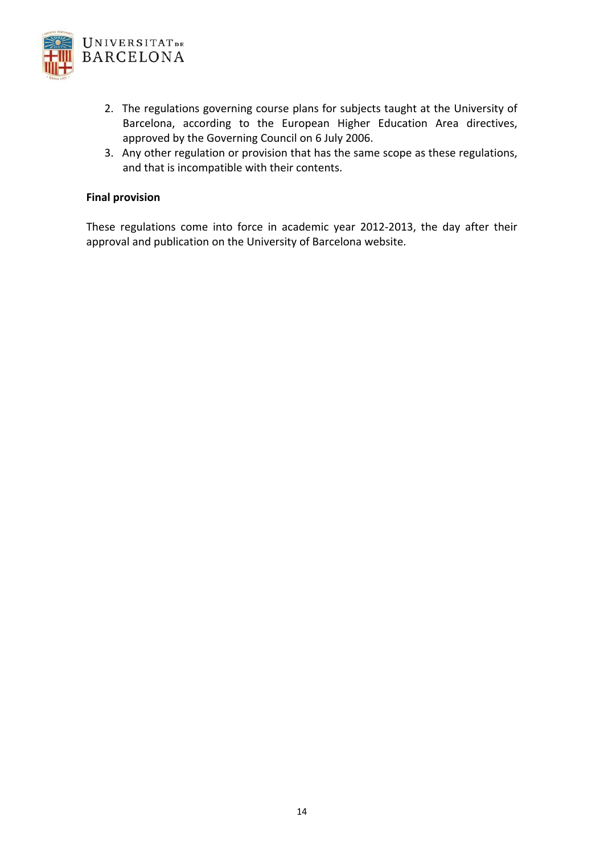

- 2. The regulations governing course plans for subjects taught at the University of Barcelona, according to the European Higher Education Area directives, approved by the Governing Council on 6 July 2006.
- 3. Any other regulation or provision that has the same scope as these regulations, and that is incompatible with their contents.

#### **Final provision**

These regulations come into force in academic year 2012‐2013, the day after their approval and publication on the University of Barcelona website.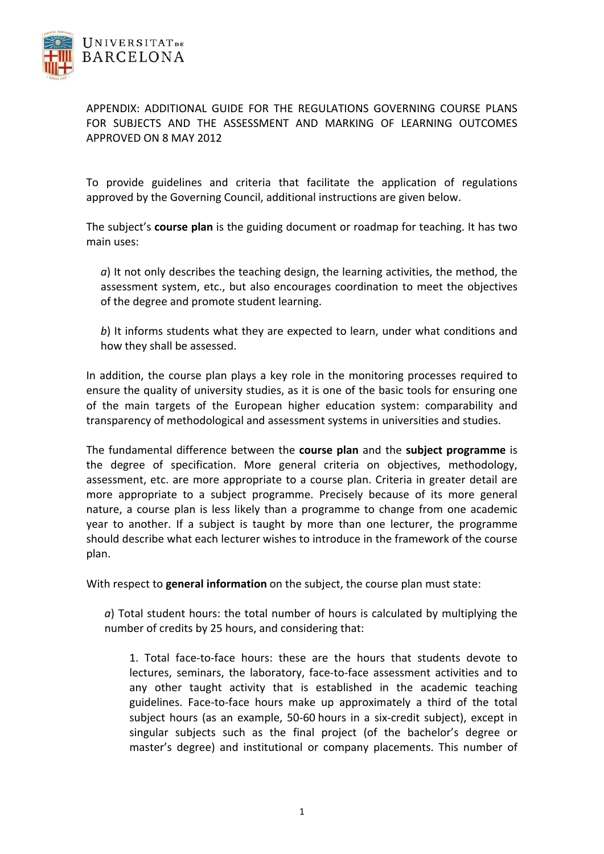

APPENDIX: ADDITIONAL GUIDE FOR THE REGULATIONS GOVERNING COURSE PLANS FOR SUBJECTS AND THE ASSESSMENT AND MARKING OF LEARNING OUTCOMES APPROVED ON 8 MAY 2012

To provide guidelines and criteria that facilitate the application of regulations approved by the Governing Council, additional instructions are given below.

The subject's **course plan** is the guiding document or roadmap for teaching. It has two main uses:

*a*) It not only describes the teaching design, the learning activities, the method, the assessment system, etc., but also encourages coordination to meet the objectives of the degree and promote student learning.

*b*) It informs students what they are expected to learn, under what conditions and how they shall be assessed.

In addition, the course plan plays a key role in the monitoring processes required to ensure the quality of university studies, as it is one of the basic tools for ensuring one of the main targets of the European higher education system: comparability and transparency of methodological and assessment systems in universities and studies.

The fundamental difference between the **course plan** and the **subject programme** is the degree of specification. More general criteria on objectives, methodology, assessment, etc. are more appropriate to a course plan. Criteria in greater detail are more appropriate to a subject programme. Precisely because of its more general nature, a course plan is less likely than a programme to change from one academic year to another. If a subject is taught by more than one lecturer, the programme should describe what each lecturer wishes to introduce in the framework of the course plan.

With respect to **general information** on the subject, the course plan must state:

*a*) Total student hours: the total number of hours is calculated by multiplying the number of credits by 25 hours, and considering that:

1. Total face‐to‐face hours: these are the hours that students devote to lectures, seminars, the laboratory, face‐to‐face assessment activities and to any other taught activity that is established in the academic teaching guidelines. Face‐to‐face hours make up approximately a third of the total subject hours (as an example, 50‐60 hours in a six‐credit subject), except in singular subjects such as the final project (of the bachelor's degree or master's degree) and institutional or company placements. This number of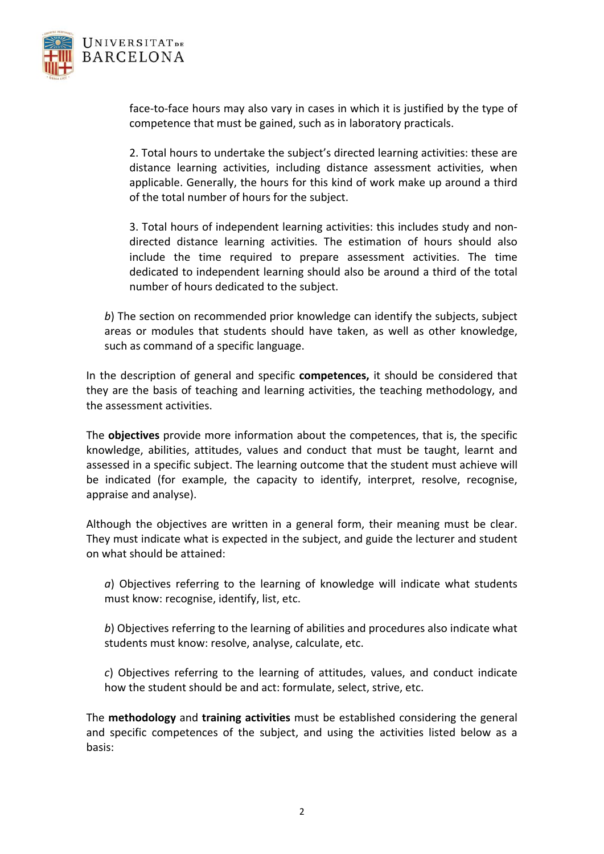

face-to-face hours may also vary in cases in which it is justified by the type of competence that must be gained, such as in laboratory practicals.

2. Total hours to undertake the subject's directed learning activities: these are distance learning activities, including distance assessment activities, when applicable. Generally, the hours for this kind of work make up around a third of the total number of hours for the subject.

3. Total hours of independent learning activities: this includes study and non‐ directed distance learning activities. The estimation of hours should also include the time required to prepare assessment activities. The time dedicated to independent learning should also be around a third of the total number of hours dedicated to the subject.

b) The section on recommended prior knowledge can identify the subjects, subject areas or modules that students should have taken, as well as other knowledge, such as command of a specific language.

In the description of general and specific **competences,** it should be considered that they are the basis of teaching and learning activities, the teaching methodology, and the assessment activities.

The **objectives** provide more information about the competences, that is, the specific knowledge, abilities, attitudes, values and conduct that must be taught, learnt and assessed in a specific subject. The learning outcome that the student must achieve will be indicated (for example, the capacity to identify, interpret, resolve, recognise, appraise and analyse).

Although the objectives are written in a general form, their meaning must be clear. They must indicate what is expected in the subject, and guide the lecturer and student on what should be attained:

*a*) Objectives referring to the learning of knowledge will indicate what students must know: recognise, identify, list, etc.

*b*) Objectives referring to the learning of abilities and procedures also indicate what students must know: resolve, analyse, calculate, etc.

*c*) Objectives referring to the learning of attitudes, values, and conduct indicate how the student should be and act: formulate, select, strive, etc.

The **methodology** and **training activities** must be established considering the general and specific competences of the subject, and using the activities listed below as a basis: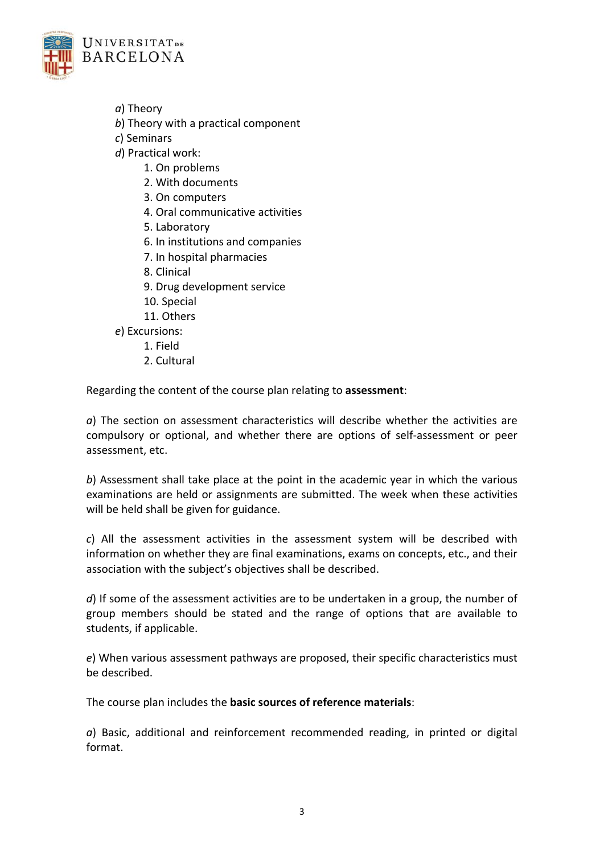

*a*) Theory

- *b*) Theory with a practical component
- *c*) Seminars
- *d*) Practical work:
	- 1. On problems
	- 2. With documents
	- 3. On computers
	- 4. Oral communicative activities
	- 5. Laboratory
	- 6. In institutions and companies
	- 7. In hospital pharmacies
	- 8. Clinical
	- 9. Drug development service
	- 10. Special
	- 11. Others
- *e*) Excursions:
	- 1. Field
	- 2. Cultural

Regarding the content of the course plan relating to **assessment**:

*a*) The section on assessment characteristics will describe whether the activities are compulsory or optional, and whether there are options of self‐assessment or peer assessment, etc.

*b*) Assessment shall take place at the point in the academic year in which the various examinations are held or assignments are submitted. The week when these activities will be held shall be given for guidance.

*c*) All the assessment activities in the assessment system will be described with information on whether they are final examinations, exams on concepts, etc., and their association with the subject's objectives shall be described.

*d*) If some of the assessment activities are to be undertaken in a group, the number of group members should be stated and the range of options that are available to students, if applicable.

*e*) When various assessment pathways are proposed, their specific characteristics must be described.

The course plan includes the **basic sources of reference materials**:

*a*) Basic, additional and reinforcement recommended reading, in printed or digital format.